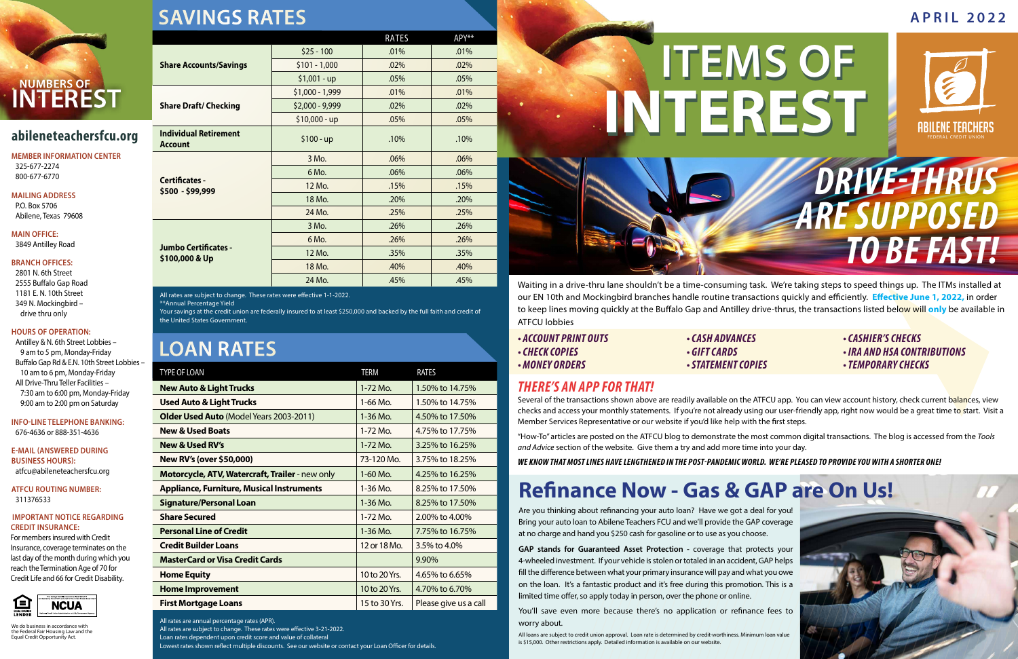# **Refinance Now - Gas & GAP are On Us!**

Are you thinking about refinancing your auto loan? Have we got a deal for you! Bring your auto loan to Abilene Teachers FCU and we'll provide the GAP coverage at no charge and hand you \$250 cash for gasoline or to use as you choose.

**GAP stands for Guaranteed Asset Protection -** coverage that protects your 4-wheeled investment. If your vehicle is stolen or totaled in an accident, GAP helps fill the difference between what your primary insurance will pay and what you owe on the loan. It's a fantastic product and it's free during this promotion. This is a limited time offer, so apply today in person, over the phone or online.

You'll save even more because there's no application or refinance fees to worry about.

All loans are subject to credit union approval. Loan rate is determined by credit-worthiness. Minimum loan value is \$15,000. Other restrictions apply. Detailed information is available on our website.

## **APRIL 2022**

We do business in accordance with the Federal Fair Housing Law and the Equal Credit Opportunity Act.

**MEMBER INFORMATION CENTER** 325-677-2274 800-677-6770

**MAILING ADDRESS**

P.O. Box 5706 Abilene, Texas 79608

**MAIN OFFICE:** 3849 Antilley Road

### **BRANCH OFFICES:**

2801 N. 6th Street 2555 Buffalo Gap Road 1181 E. N. 10th Street 349 N. Mockingbird – drive thru only

### **HOURS OF OPERATION:**

Antilley & N. 6th Street Lobbies – 9 am to 5 pm, Monday-Friday Buffalo Gap Rd & E.N. 10th Street Lobbies – 10 am to 6 pm, Monday-Friday All Drive-Thru Teller Facilities – 7:30 am to 6:00 pm, Monday-Friday 9:00 am to 2:00 pm on Saturday

**INFO-LINE TELEPHONE BANKING:** 676-4636 or 888-351-4636

**E-MAIL (ANSWERED DURING BUSINESS HOURS):** atfcu@abileneteachersfcu.org

**ATFCU ROUTING NUMBER:** 311376533

### **IMPORTANT NOTICE REGARDING CREDIT INSURANCE:**

For members insured with Credit Insurance, coverage terminates on the last day of the month during which you reach the Termination Age of 70 for Credit Life and 66 for Credit Disability.



**SAVINGS RATES**

## **LOAN RATES**

Several of the transactions shown above are readily available on the ATFCU app. You can view account history, check current balances, view checks and access your monthly statements. If you're not already using our user-friendly app, right now would be a great time to start. Visit a Member Services Representative or our website if you'd like help with the first steps.

| <b>TYPE OF LOAN</b>                              | <b>TERM</b>   | RATES                 |  |
|--------------------------------------------------|---------------|-----------------------|--|
| <b>New Auto &amp; Light Trucks</b>               | 1-72 Mo.      | 1.50% to 14.75%       |  |
| <b>Used Auto &amp; Light Trucks</b>              | $1-66$ Mo.    | 1.50% to 14.75%       |  |
| <b>Older Used Auto</b> (Model Years 2003-2011)   | $1-36$ Mo.    | 4.50% to 17.50%       |  |
| <b>New &amp; Used Boats</b>                      | $1-72$ Mo.    | 4.75% to 17.75%       |  |
| <b>New &amp; Used RV's</b>                       | $1 - 72$ Mo.  | 3.25% to 16.25%       |  |
| <b>New RV's (over \$50,000)</b>                  | 73-120 Mo.    | 3.75% to 18.25%       |  |
| Motorcycle, ATV, Watercraft, Trailer - new only  | $1-60$ Mo.    | 4.25% to 16.25%       |  |
| <b>Appliance, Furniture, Musical Instruments</b> | $1-36$ Mo.    | 8.25% to 17.50%       |  |
| <b>Signature/Personal Loan</b>                   | $1 - 36$ Mo.  | 8.25% to 17.50%       |  |
| <b>Share Secured</b>                             | $1 - 72$ Mo.  | 2.00% to 4.00%        |  |
| <b>Personal Line of Credit</b>                   | $1 - 36$ Mo.  | 7.75% to 16.75%       |  |
| <b>Credit Builder Loans</b>                      | 12 or 18 Mo.  | 3.5% to 4.0%          |  |
| <b>MasterCard or Visa Credit Cards</b>           |               | $9.90\%$              |  |
| <b>Home Equity</b>                               | 10 to 20 Yrs. | 4.65% to 6.65%        |  |
| <b>Home Improvement</b>                          | 10 to 20 Yrs. | 4.70% to 6.70%        |  |
| <b>First Mortgage Loans</b>                      | 15 to 30 Yrs. | Please give us a call |  |

All rates are annual percentage rates (APR).

All rates are subject to change. These rates were effective 3-21-2022. Loan rates dependent upon credit score and value of collateral



Lowest rates shown reflect multiple discounts. See our website or contact your Loan Officer for details.

| ,, , , , , , , , , , , , , <u>,</u>            |                  |       |       |  |
|------------------------------------------------|------------------|-------|-------|--|
|                                                |                  | RATES | APY** |  |
| <b>Share Accounts/Savings</b>                  | $$25 - 100$      | .01%  | .01%  |  |
|                                                | $$101 - 1,000$   | .02%  | .02%  |  |
|                                                | $$1,001 - up$    | .05%  | .05%  |  |
| <b>Share Draft/ Checking</b>                   | $$1,000 - 1,999$ | .01%  | .01%  |  |
|                                                | $$2,000 - 9,999$ | .02%  | .02%  |  |
|                                                | $$10,000 - up$   | .05%  | .05%  |  |
| <b>Individual Retirement</b><br><b>Account</b> | $$100 - up$      | .10%  | .10%  |  |
| <b>Certificates -</b><br>\$500 - \$99,999      | 3 Mo.            | .06%  | .06%  |  |
|                                                | 6 Mo.            | .06%  | .06%  |  |
|                                                | 12 Mo.           | .15%  | .15%  |  |
|                                                | 18 Mo.           | .20%  | .20%  |  |
|                                                | 24 Mo.           | .25%  | .25%  |  |
| Jumbo Certificates -<br>\$100,000 & Up         | 3 Mo.            | .26%  | .26%  |  |
|                                                | 6 Mo.            | .26%  | .26%  |  |
|                                                | 12 Mo.           | .35%  | .35%  |  |
|                                                | 18 Mo.           | .40%  | .40%  |  |

All rates are subject to change. These rates were effective 1-1-2022.

\*\*Annual Percentage Yield

Your savings at the credit union are federally insured to at least \$250,000 and backed by the full faith and credit of the United States Government.

24 Mo. 15% **.45%** .45%

Waiting in a drive-thru lane shouldn't be a time-consuming task. We're taking steps to speed things up. The ITMs installed at our EN 10th and Mockingbird branches handle routine transactions quickly and efficiently. **Effective June 1, 2022,** in order to keep lines moving quickly at the Buffalo Gap and Antilley drive-thrus, the transactions listed below will **only** be available in ATFCU lobbies

- *ACCOUNT PRINT OUTS CASH ADVANCES CASHIER'S CHECKS*
- 
- 

- 
- *CHECK COPIES GIFT CARDS IRA AND HSA CONTRIBUTIONS*
	-
- *MONEY ORDERS STATEMENT COPIES TEMPORARY CHECKS*



## *THERE'S AN APP FOR THAT!*

"How-To" articles are posted on the ATFCU blog to demonstrate the most common digital transactions. The blog is accessed from the *Tools and Advice* section of the website. Give them a try and add more time into your day.

*WE KNOW THAT MOST LINES HAVE LENGTHENED IN THE POST-PANDEMIC WORLD. WE'RE PLEASED TO PROVIDE YOU WITH A SHORTER ONE!*